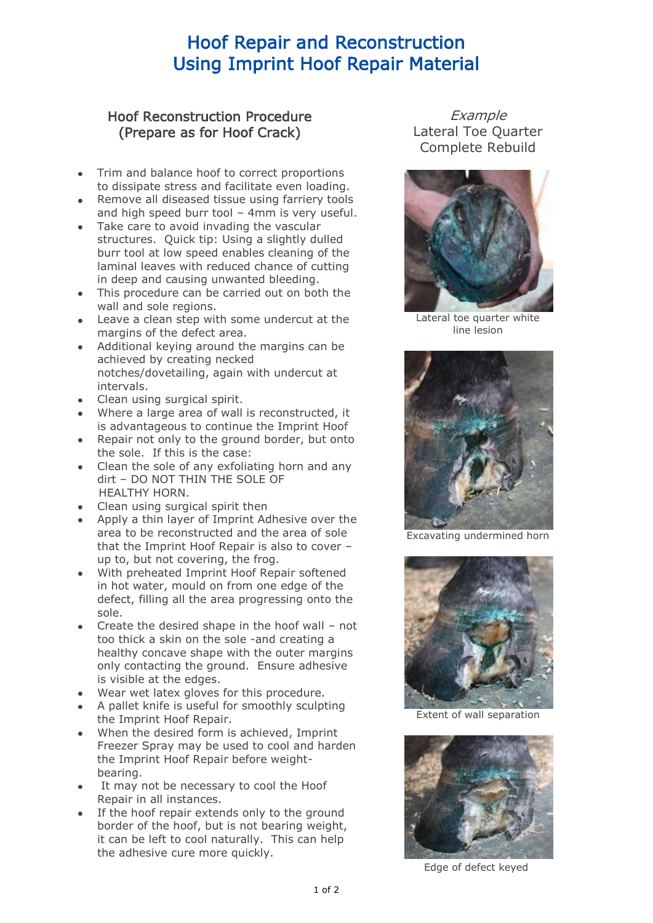## Hoof Repair and Reconstruction Using Imprint Hoof Repair Material

## Hoof Reconstruction Procedure (Prepare as for Hoof Crack)

- Trim and balance hoof to correct proportions to dissipate stress and facilitate even loading.
- Remove all diseased tissue using farriery tools and high speed burr tool – 4mm is very useful.
- Take care to avoid invading the vascular structures. Quick tip: Using a slightly dulled burr tool at low speed enables cleaning of the laminal leaves with reduced chance of cutting in deep and causing unwanted bleeding.
- This procedure can be carried out on both the wall and sole regions.
- Leave a clean step with some undercut at the margins of the defect area.
- Additional keying around the margins can be achieved by creating necked notches/dovetailing, again with undercut at intervals.
- Clean using surgical spirit.
- Where a large area of wall is reconstructed, it is advantageous to continue the Imprint Hoof
- Repair not only to the ground border, but onto the sole. If this is the case:
- Clean the sole of any exfoliating horn and any dirt – DO NOT THIN THE SOLE OF HEALTHY HORN.
- Clean using surgical spirit then
- Apply a thin layer of Imprint Adhesive over the area to be reconstructed and the area of sole that the Imprint Hoof Repair is also to cover – up to, but not covering, the frog.
- With preheated Imprint Hoof Repair softened in hot water, mould on from one edge of the defect, filling all the area progressing onto the sole.
- Create the desired shape in the hoof wall not too thick a skin on the sole -and creating a healthy concave shape with the outer margins only contacting the ground. Ensure adhesive is visible at the edges.
- Wear wet latex gloves for this procedure.
- A pallet knife is useful for smoothly sculpting the Imprint Hoof Repair.
- When the desired form is achieved, Imprint Freezer Spray may be used to cool and harden the Imprint Hoof Repair before weightbearing.
- It may not be necessary to cool the Hoof Repair in all instances.
- If the hoof repair extends only to the ground border of the hoof, but is not bearing weight, it can be left to cool naturally. This can help the adhesive cure more quickly.

**Example** Lateral Toe Quarter Complete Rebuild



Lateral toe quarter white line lesion



Excavating undermined horn



Extent of wall separation



Edge of defect keyed